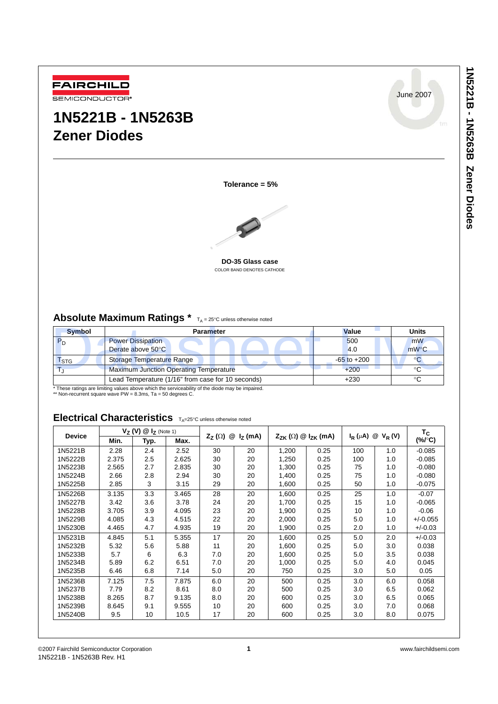

# **1N5221B - 1N5263B Zener Diodes**

June 2007

**Tolerance = 5%**



**DO-35 Glass case** COLOR BAND DENOTES CATHODE

# **Absolute Maximum Ratings** \*  $T_A = 25^{\circ}C$  unless otherwise noted

| <b>Symbol</b>               | <b>Parameter</b>                                  | <b>Value</b>    | <b>Units</b> |
|-----------------------------|---------------------------------------------------|-----------------|--------------|
|                             | <b>Power Dissipation</b>                          | 500             | mW           |
|                             | Derate above 50°C                                 | 4.0             | $mW$ °C      |
| $\mathsf{I}_{\mathsf{STG}}$ | Storage Temperature Range                         | $-65$ to $+200$ |              |
|                             | <b>Maximum Junction Operating Temperature</b>     | $+200$          | °C           |
|                             | Lead Temperature (1/16" from case for 10 seconds) | $+230$          |              |

\* These ratings are limiting values above which the serviceability of the diode may be impaired. \*\* Non-recurrent square wave PW = 8.3ms, Ta = 50 degrees C.

# Electrical Characteristics  $T_{A}=25^{\circ}C$  unless otherwise noted

| <b>Device</b> |       | $V_Z$ (V) $@I_Z$ (Note 1) |       | $@IZ$ (mA)<br>$Z_{Z}(\Omega)$ |    | $Z_{ZK}(\Omega) \otimes I_{ZK}(\text{mA})$ |      | $I_R(\mu A) \otimes V_R(V)$ |     | $T_{\rm C}$        |
|---------------|-------|---------------------------|-------|-------------------------------|----|--------------------------------------------|------|-----------------------------|-----|--------------------|
|               | Min.  | Typ.                      | Max.  |                               |    |                                            |      |                             |     | $(\% / \degree C)$ |
| 1N5221B       | 2.28  | 2.4                       | 2.52  | 30                            | 20 | 1,200                                      | 0.25 | 100                         | 1.0 | $-0.085$           |
| 1N5222B       | 2.375 | $2.5\,$                   | 2.625 | 30                            | 20 | 1,250                                      | 0.25 | 100                         | 1.0 | $-0.085$           |
| 1N5223B       | 2.565 | 2.7                       | 2.835 | 30                            | 20 | 1,300                                      | 0.25 | 75                          | 1.0 | $-0.080$           |
| 1N5224B       | 2.66  | 2.8                       | 2.94  | 30                            | 20 | 1,400                                      | 0.25 | 75                          | 1.0 | $-0.080$           |
| 1N5225B       | 2.85  | 3                         | 3.15  | 29                            | 20 | 1,600                                      | 0.25 | 50                          | 1.0 | $-0.075$           |
| 1N5226B       | 3.135 | 3.3                       | 3.465 | 28                            | 20 | 1,600                                      | 0.25 | 25                          | 1.0 | $-0.07$            |
| 1N5227B       | 3.42  | 3.6                       | 3.78  | 24                            | 20 | 1,700                                      | 0.25 | 15                          | 1.0 | $-0.065$           |
| 1N5228B       | 3.705 | 3.9                       | 4.095 | 23                            | 20 | 1,900                                      | 0.25 | 10                          | 1.0 | $-0.06$            |
| 1N5229B       | 4.085 | 4.3                       | 4.515 | 22                            | 20 | 2,000                                      | 0.25 | 5.0                         | 1.0 | $+/-0.055$         |
| 1N5230B       | 4.465 | 4.7                       | 4.935 | 19                            | 20 | 1,900                                      | 0.25 | 2.0                         | 1.0 | $+/-0.03$          |
| 1N5231B       | 4.845 | 5.1                       | 5.355 | 17                            | 20 | 1,600                                      | 0.25 | 5.0                         | 2.0 | $+/-0.03$          |
| 1N5232B       | 5.32  | 5.6                       | 5.88  | 11                            | 20 | 1,600                                      | 0.25 | 5.0                         | 3.0 | 0.038              |
| 1N5233B       | 5.7   | 6                         | 6.3   | 7.0                           | 20 | 1,600                                      | 0.25 | 5.0                         | 3.5 | 0.038              |
| 1N5234B       | 5.89  | 6.2                       | 6.51  | 7.0                           | 20 | 1,000                                      | 0.25 | 5.0                         | 4.0 | 0.045              |
| 1N5235B       | 6.46  | 6.8                       | 7.14  | 5.0                           | 20 | 750                                        | 0.25 | 3.0                         | 5.0 | 0.05               |
| 1N5236B       | 7.125 | 7.5                       | 7.875 | 6.0                           | 20 | 500                                        | 0.25 | 3.0                         | 6.0 | 0.058              |
| 1N5237B       | 7.79  | 8.2                       | 8.61  | 8.0                           | 20 | 500                                        | 0.25 | 3.0                         | 6.5 | 0.062              |
| 1N5238B       | 8.265 | 8.7                       | 9.135 | 8.0                           | 20 | 600                                        | 0.25 | 3.0                         | 6.5 | 0.065              |
| 1N5239B       | 8.645 | 9.1                       | 9.555 | 10                            | 20 | 600                                        | 0.25 | 3.0                         | 7.0 | 0.068              |
| 1N5240B       | 9.5   | 10                        | 10.5  | 17                            | 20 | 600                                        | 0.25 | 3.0                         | 8.0 | 0.075              |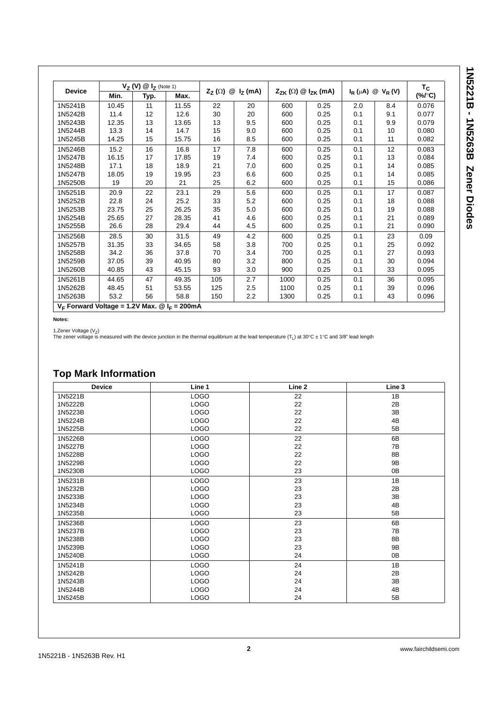| <b>Device</b> | $V_Z(V) \ @ \ I_Z$ (Note 1) |      |       |                                         |     |                                            | $I_R(\mu A) \otimes V_R(V)$ |     | $T_c$ |        |
|---------------|-----------------------------|------|-------|-----------------------------------------|-----|--------------------------------------------|-----------------------------|-----|-------|--------|
|               | Min.                        | Typ. | Max.  | @I <sub>Z</sub> (mA)<br>$Z_{Z}(\Omega)$ |     | $Z_{ZK}(\Omega) \otimes I_{ZK}(\text{mA})$ |                             |     |       | (%/°C) |
| 1N5241B       | 10.45                       | 11   | 11.55 | 22                                      | 20  | 600                                        | 0.25                        | 2.0 | 8.4   | 0.076  |
| 1N5242B       | 11.4                        | 12   | 12.6  | 30                                      | 20  | 600                                        | 0.25                        | 0.1 | 9.1   | 0.077  |
| 1N5243B       | 12.35                       | 13   | 13.65 | 13                                      | 9.5 | 600                                        | 0.25                        | 0.1 | 9.9   | 0.079  |
| 1N5244B       | 13.3                        | 14   | 14.7  | 15                                      | 9.0 | 600                                        | 0.25                        | 0.1 | 10    | 0.080  |
| 1N5245B       | 14.25                       | 15   | 15.75 | 16                                      | 8.5 | 600                                        | 0.25                        | 0.1 | 11    | 0.082  |
| 1N5246B       | 15.2                        | 16   | 16.8  | 17                                      | 7.8 | 600                                        | 0.25                        | 0.1 | 12    | 0.083  |
| 1N5247B       | 16.15                       | 17   | 17.85 | 19                                      | 7.4 | 600                                        | 0.25                        | 0.1 | 13    | 0.084  |
| 1N5248B       | 17.1                        | 18   | 18.9  | 21                                      | 7.0 | 600                                        | 0.25                        | 0.1 | 14    | 0.085  |
| 1N5247B       | 18.05                       | 19   | 19.95 | 23                                      | 6.6 | 600                                        | 0.25                        | 0.1 | 14    | 0.085  |
| 1N5250B       | 19                          | 20   | 21    | 25                                      | 6.2 | 600                                        | 0.25                        | 0.1 | 15    | 0.086  |
| 1N5251B       | 20.9                        | 22   | 23.1  | 29                                      | 5.6 | 600                                        | 0.25                        | 0.1 | 17    | 0.087  |
| 1N5252B       | 22.8                        | 24   | 25.2  | 33                                      | 5.2 | 600                                        | 0.25                        | 0.1 | 18    | 0.088  |
| 1N5253B       | 23.75                       | 25   | 26.25 | 35                                      | 5.0 | 600                                        | 0.25                        | 0.1 | 19    | 0.088  |
| 1N5254B       | 25.65                       | 27   | 28.35 | 41                                      | 4.6 | 600                                        | 0.25                        | 0.1 | 21    | 0.089  |
| 1N5255B       | 26.6                        | 28   | 29.4  | 44                                      | 4.5 | 600                                        | 0.25                        | 0.1 | 21    | 0.090  |
| 1N5256B       | 28.5                        | 30   | 31.5  | 49                                      | 4.2 | 600                                        | 0.25                        | 0.1 | 23    | 0.09   |
| 1N5257B       | 31.35                       | 33   | 34.65 | 58                                      | 3.8 | 700                                        | 0.25                        | 0.1 | 25    | 0.092  |
| 1N5258B       | 34.2                        | 36   | 37.8  | 70                                      | 3.4 | 700                                        | 0.25                        | 0.1 | 27    | 0.093  |
| 1N5259B       | 37.05                       | 39   | 40.95 | 80                                      | 3.2 | 800                                        | 0.25                        | 0.1 | 30    | 0.094  |
| 1N5260B       | 40.85                       | 43   | 45.15 | 93                                      | 3.0 | 900                                        | 0.25                        | 0.1 | 33    | 0.095  |
| 1N5261B       | 44.65                       | 47   | 49.35 | 105                                     | 2.7 | 1000                                       | 0.25                        | 0.1 | 36    | 0.095  |
| 1N5262B       | 48.45                       | 51   | 53.55 | 125                                     | 2.5 | 1100                                       | 0.25                        | 0.1 | 39    | 0.096  |
| 1N5263B       | 53.2                        | 56   | 58.8  | 150                                     | 2.2 | 1300                                       | 0.25                        | 0.1 | 43    | 0.096  |

 $V_F$  Forward Voltage = 1.2V Max.  $\textcircled{1}_F$  = 200mA

**Notes:**

1.Zener Voltage (V<sub>Z</sub>)<br>The zener voltage is measured with the device junction in the thermal equilibrium at the lead temperature (T<sub>L</sub>) at 30℃ ± 1℃ and 3/8" lead length

# **Top Mark Information**

| <b>Device</b> | Line 1      | Line <sub>2</sub> | Line 3 |
|---------------|-------------|-------------------|--------|
| 1N5221B       | <b>LOGO</b> | 22                | 1B     |
| 1N5222B       | <b>LOGO</b> | 22                | 2B     |
| 1N5223B       | <b>LOGO</b> | 22                | 3B     |
| 1N5224B       | <b>LOGO</b> | 22                | 4B     |
| 1N5225B       | <b>LOGO</b> | 22                | 5B     |
| 1N5226B       | <b>LOGO</b> | 22                | 6B     |
| 1N5227B       | <b>LOGO</b> | 22                | 7B     |
| 1N5228B       | <b>LOGO</b> | 22                | 8B     |
| 1N5229B       | <b>LOGO</b> | 22                | 9B     |
| 1N5230B       | <b>LOGO</b> | 23                | 0B     |
| 1N5231B       | <b>LOGO</b> | 23                | 1B     |
| 1N5232B       | <b>LOGO</b> | 23                | 2B     |
| 1N5233B       | <b>LOGO</b> | 23                | 3B     |
| 1N5234B       | <b>LOGO</b> | 23                | 4B     |
| 1N5235B       | <b>LOGO</b> | 23                | 5B     |
| 1N5236B       | <b>LOGO</b> | 23                | 6B     |
| 1N5237B       | <b>LOGO</b> | 23                | 7B     |
| 1N5238B       | <b>LOGO</b> | 23                | 8B     |
| 1N5239B       | <b>LOGO</b> | 23                | 9B     |
| 1N5240B       | <b>LOGO</b> | 24                | 0B     |
| 1N5241B       | <b>LOGO</b> | 24                | 1B     |
| 1N5242B       | <b>LOGO</b> | 24                | 2B     |
| 1N5243B       | <b>LOGO</b> | 24                | 3B     |
| 1N5244B       | <b>LOGO</b> | 24                | 4B     |
| 1N5245B       | <b>LOGO</b> | 24                | 5B     |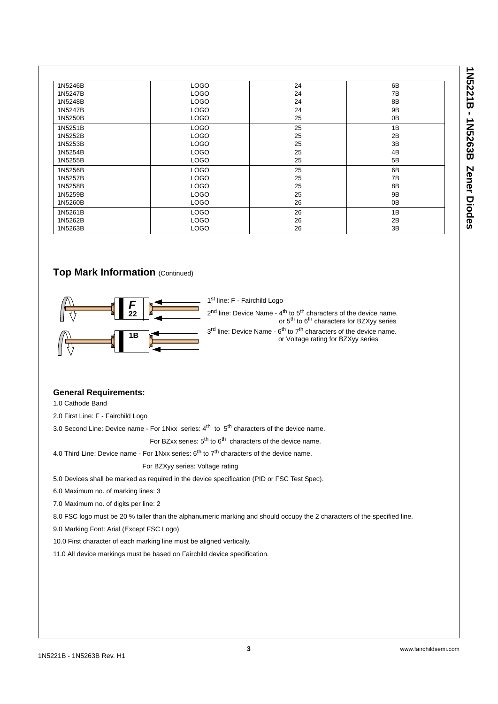| İ<br>Ų           |
|------------------|
|                  |
| П                |
| ׆֧<br>ť<br>I     |
| √<br>י<br>?<br>? |
| ı                |
| Č                |

| 1N5246B | <b>LOGO</b> | 24 | 6B             |
|---------|-------------|----|----------------|
| 1N5247B | <b>LOGO</b> | 24 | 7B             |
| 1N5248B | <b>LOGO</b> | 24 | 8B             |
| 1N5247B | <b>LOGO</b> | 24 | 9B             |
| 1N5250B | <b>LOGO</b> | 25 | 0 <sub>B</sub> |
| 1N5251B | <b>LOGO</b> | 25 | 1B             |
| 1N5252B | <b>LOGO</b> | 25 | 2B             |
| 1N5253B | <b>LOGO</b> | 25 | 3B             |
| 1N5254B | <b>LOGO</b> | 25 | 4B             |
| 1N5255B | <b>LOGO</b> | 25 | 5B             |
| 1N5256B | <b>LOGO</b> | 25 | 6B             |
| 1N5257B | <b>LOGO</b> | 25 | 7B             |
| 1N5258B | <b>LOGO</b> | 25 | 8 <sub>B</sub> |
| 1N5259B | <b>LOGO</b> | 25 | 9B             |
| 1N5260B | <b>LOGO</b> | 26 | 0 <sub>B</sub> |
| 1N5261B | <b>LOGO</b> | 26 | 1B             |
| 1N5262B | <b>LOGO</b> | 26 | 2B             |
| 1N5263B | <b>LOGO</b> | 26 | 3B             |

## **Top Mark Information (Continued)**



1<sup>st</sup> line: F - Fairchild Logo

2<sup>nd</sup> line: Device Name - 4<sup>th</sup> to 5<sup>th</sup> characters of the device name. or 5<sup>th</sup> to 6<sup>th</sup> characters for BZXyy series

 $3<sup>rd</sup>$  line: Device Name -  $6<sup>th</sup>$  to  $7<sup>th</sup>$  characters of the device name. or Voltage rating for BZXyy series

### **General Requirements:**

1.0 Cathode Band

2.0 First Line: F - Fairchild Logo

3.0 Second Line: Device name - For 1Nxx series:  $4<sup>th</sup>$  to  $5<sup>th</sup>$  characters of the device name.

For BZxx series:  $5<sup>th</sup>$  to  $6<sup>th</sup>$  characters of the device name.

4.0 Third Line: Device name - For 1Nxx series:  $6<sup>th</sup>$  to  $7<sup>th</sup>$  characters of the device name.

For BZXyy series: Voltage rating

5.0 Devices shall be marked as required in the device specification (PID or FSC Test Spec).

6.0 Maximum no. of marking lines: 3

7.0 Maximum no. of digits per line: 2

8.0 FSC logo must be 20 % taller than the alphanumeric marking and should occupy the 2 characters of the specified line.

9.0 Marking Font: Arial (Except FSC Logo)

10.0 First character of each marking line must be aligned vertically.

11.0 All device markings must be based on Fairchild device specification.